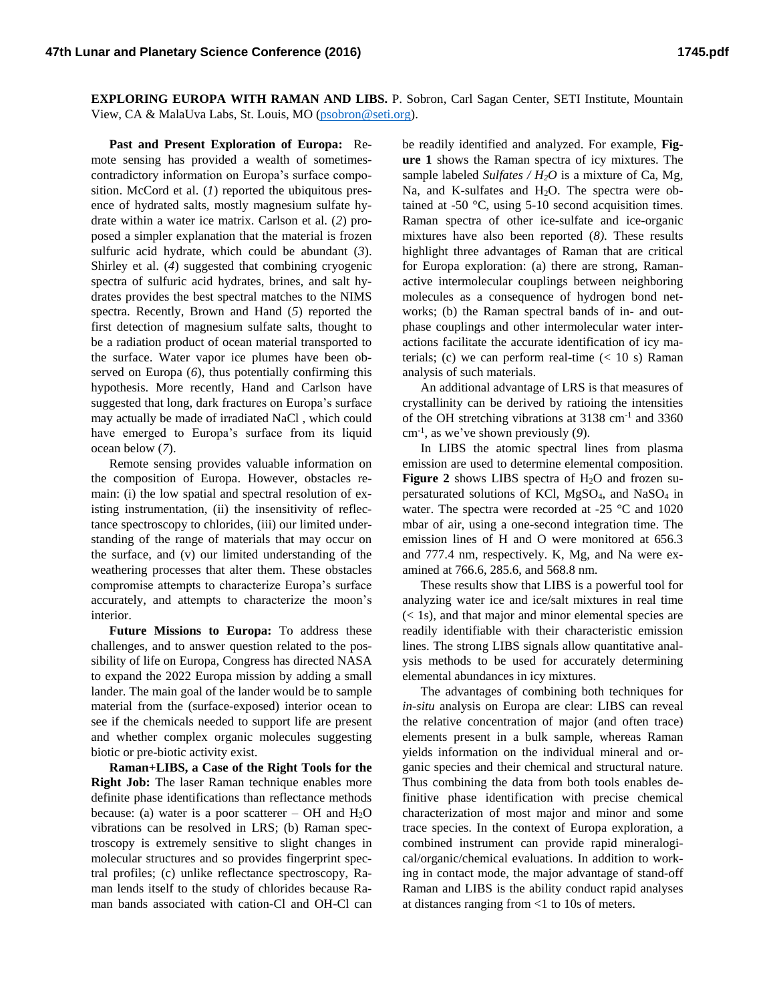**EXPLORING EUROPA WITH RAMAN AND LIBS.** P. Sobron, Carl Sagan Center, SETI Institute, Mountain View, CA & MalaUva Labs, St. Louis, MO [\(psobron@seti.org\)](mailto:psobron@seti.org).

**Past and Present Exploration of Europa:** Remote sensing has provided a wealth of sometimescontradictory information on Europa's surface composition. McCord et al. (*1*) reported the ubiquitous presence of hydrated salts, mostly magnesium sulfate hydrate within a water ice matrix. Carlson et al. (*2*) proposed a simpler explanation that the material is frozen sulfuric acid hydrate, which could be abundant (*3*). Shirley et al. (*4*) suggested that combining cryogenic spectra of sulfuric acid hydrates, brines, and salt hydrates provides the best spectral matches to the NIMS spectra. Recently, Brown and Hand (*5*) reported the first detection of magnesium sulfate salts, thought to be a radiation product of ocean material transported to the surface. Water vapor ice plumes have been observed on Europa (*6*), thus potentially confirming this hypothesis. More recently, Hand and Carlson have suggested that long, dark fractures on Europa's surface may actually be made of irradiated NaCl , which could have emerged to Europa's surface from its liquid ocean below (*7*).

Remote sensing provides valuable information on the composition of Europa. However, obstacles remain: (i) the low spatial and spectral resolution of existing instrumentation, (ii) the insensitivity of reflectance spectroscopy to chlorides, (iii) our limited understanding of the range of materials that may occur on the surface, and (v) our limited understanding of the weathering processes that alter them. These obstacles compromise attempts to characterize Europa's surface accurately, and attempts to characterize the moon's interior.

**Future Missions to Europa:** To address these challenges, and to answer question related to the possibility of life on Europa, Congress has directed NASA to expand the 2022 Europa mission by adding a small lander. The main goal of the lander would be to sample material from the (surface-exposed) interior ocean to see if the chemicals needed to support life are present and whether complex organic molecules suggesting biotic or pre-biotic activity exist.

**Raman+LIBS, a Case of the Right Tools for the Right Job:** The laser Raman technique enables more definite phase identifications than reflectance methods because: (a) water is a poor scatterer – OH and  $H_2O$ vibrations can be resolved in LRS; (b) Raman spectroscopy is extremely sensitive to slight changes in molecular structures and so provides fingerprint spectral profiles; (c) unlike reflectance spectroscopy, Raman lends itself to the study of chlorides because Raman bands associated with cation-Cl and OH-Cl can

be readily identified and analyzed. For example, **Figure 1** shows the Raman spectra of icy mixtures. The sample labeled *Sulfates / H2O* is a mixture of Ca, Mg, Na, and K-sulfates and  $H_2O$ . The spectra were obtained at  $-50$  °C, using  $5-10$  second acquisition times. Raman spectra of other ice-sulfate and ice-organic mixtures have also been reported (*8)*. These results highlight three advantages of Raman that are critical for Europa exploration: (a) there are strong, Ramanactive intermolecular couplings between neighboring molecules as a consequence of hydrogen bond networks; (b) the Raman spectral bands of in- and outphase couplings and other intermolecular water interactions facilitate the accurate identification of icy materials; (c) we can perform real-time  $(< 10 \text{ s})$  Raman analysis of such materials.

An additional advantage of LRS is that measures of crystallinity can be derived by ratioing the intensities of the OH stretching vibrations at 3138 cm<sup>-1</sup> and 3360 cm-1 , as we've shown previously (*9*).

In LIBS the atomic spectral lines from plasma emission are used to determine elemental composition. **Figure 2** shows LIBS spectra of  $H_2O$  and frozen supersaturated solutions of KCl,  $MgSO_4$ , and  $NaSO_4$  in water. The spectra were recorded at -25 °C and 1020 mbar of air, using a one-second integration time. The emission lines of H and O were monitored at 656.3 and 777.4 nm, respectively. K, Mg, and Na were examined at 766.6, 285.6, and 568.8 nm.

These results show that LIBS is a powerful tool for analyzing water ice and ice/salt mixtures in real time (< 1s), and that major and minor elemental species are readily identifiable with their characteristic emission lines. The strong LIBS signals allow quantitative analysis methods to be used for accurately determining elemental abundances in icy mixtures.

The advantages of combining both techniques for *in-situ* analysis on Europa are clear: LIBS can reveal the relative concentration of major (and often trace) elements present in a bulk sample, whereas Raman yields information on the individual mineral and organic species and their chemical and structural nature. Thus combining the data from both tools enables definitive phase identification with precise chemical characterization of most major and minor and some trace species. In the context of Europa exploration, a combined instrument can provide rapid mineralogical/organic/chemical evaluations. In addition to working in contact mode, the major advantage of stand-off Raman and LIBS is the ability conduct rapid analyses at distances ranging from <1 to 10s of meters.